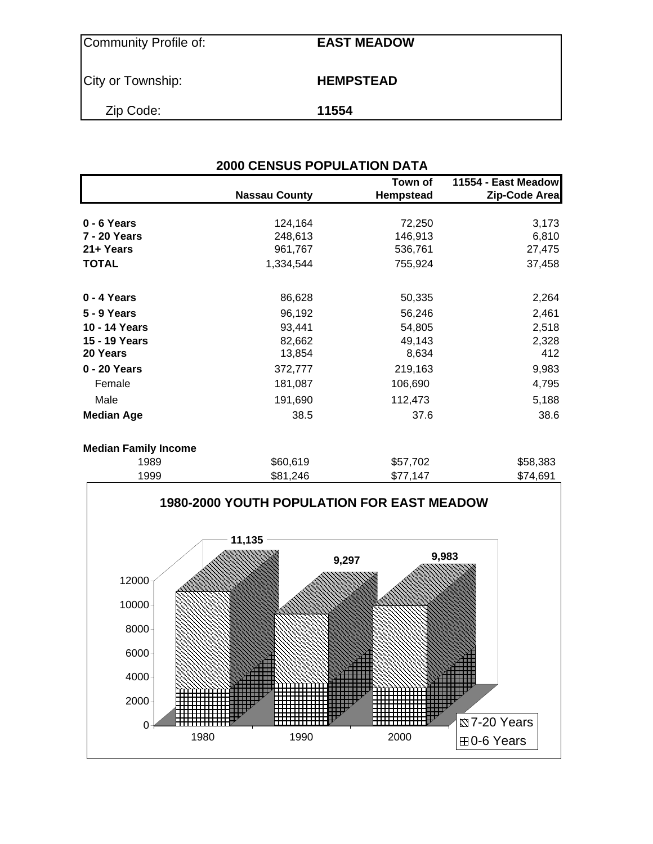| Community Profile of: | <b>EAST MEADOW</b> |
|-----------------------|--------------------|
| City or Township:     | <b>HEMPSTEAD</b>   |
| Zip Code:             | 11554              |

| Town of<br>11554 - East Meadow |                      |                  |               |  |  |  |  |  |
|--------------------------------|----------------------|------------------|---------------|--|--|--|--|--|
|                                | <b>Nassau County</b> | <b>Hempstead</b> | Zip-Code Area |  |  |  |  |  |
|                                |                      |                  |               |  |  |  |  |  |
| 0 - 6 Years                    | 124,164              | 72,250           | 3,173         |  |  |  |  |  |
| 7 - 20 Years                   | 248,613              | 146,913          | 6,810         |  |  |  |  |  |
| 21+ Years                      | 961,767              | 536,761          | 27,475        |  |  |  |  |  |
| <b>TOTAL</b>                   | 1,334,544            | 755,924          | 37,458        |  |  |  |  |  |
| 0 - 4 Years                    | 86,628               | 50,335           | 2,264         |  |  |  |  |  |
| 5 - 9 Years                    | 96,192               | 56,246           | 2,461         |  |  |  |  |  |
| 10 - 14 Years                  | 93,441               | 54,805           | 2,518         |  |  |  |  |  |
| 15 - 19 Years                  | 82,662               | 49,143           | 2,328         |  |  |  |  |  |
| 20 Years                       | 13,854               | 8,634            | 412           |  |  |  |  |  |
| 0 - 20 Years                   | 372,777              | 219,163          | 9,983         |  |  |  |  |  |
| Female                         | 181,087              | 106,690          | 4,795         |  |  |  |  |  |
| Male                           | 191,690              | 112,473          | 5,188         |  |  |  |  |  |
| <b>Median Age</b>              | 38.5                 | 37.6             | 38.6          |  |  |  |  |  |

### **Median Family Income**

| 1989 | \$60,619 | \$57,702 | \$58,383 |
|------|----------|----------|----------|
| 1999 | \$81.246 | \$77.147 | \$74.691 |
|      |          |          |          |

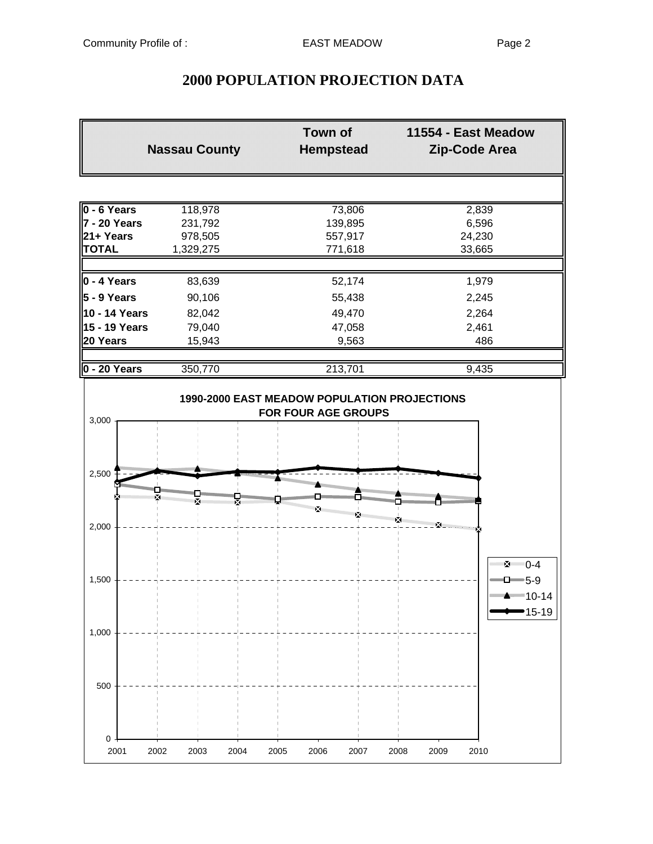# **2000 POPULATION PROJECTION DATA**

|                           | <b>Nassau County</b> | <b>Town of</b><br><b>Hempstead</b> | 11554 - East Meadow<br><b>Zip-Code Area</b>                                    |
|---------------------------|----------------------|------------------------------------|--------------------------------------------------------------------------------|
|                           |                      |                                    |                                                                                |
| 0 - 6 Years               | 118,978              | 73,806                             | 2,839                                                                          |
| 7 - 20 Years              | 231,792              | 139,895                            | 6,596                                                                          |
| 21+ Years                 | 978,505              | 557,917                            | 24,230                                                                         |
| <b>TOTAL</b>              | 1,329,275            | 771,618                            | 33,665                                                                         |
| $0 - 4$ Years             | 83,639               | 52,174                             | 1,979                                                                          |
| $5 - 9$ Years             | 90,106               | 55,438                             | 2,245                                                                          |
| 10 - 14 Years             | 82,042               | 49,470                             | 2,264                                                                          |
| 15 - 19 Years             | 79,040               | 47,058                             | 2,461                                                                          |
| 20 Years                  | 15,943               | 9,563                              | 486                                                                            |
| 0 - 20 Years              | 350,770              | 213,701                            | 9,435                                                                          |
| 2,500                     |                      |                                    |                                                                                |
| ×.                        |                      |                                    | <b>William Service Service</b>                                                 |
| 2,000                     |                      | ×                                  |                                                                                |
| 1,500                     |                      |                                    | ע 2≇≣ 0-4<br>$\blacksquare$ D $\blacksquare$ 5-9<br><del>·········</del> 10-14 |
| 1,000                     |                      |                                    | 15-19                                                                          |
| 500                       |                      |                                    |                                                                                |
| $\pmb{0}$<br>2001<br>2002 | 2003<br>2004         | 2005<br>2006<br>2007               | 2008<br>2009<br>2010                                                           |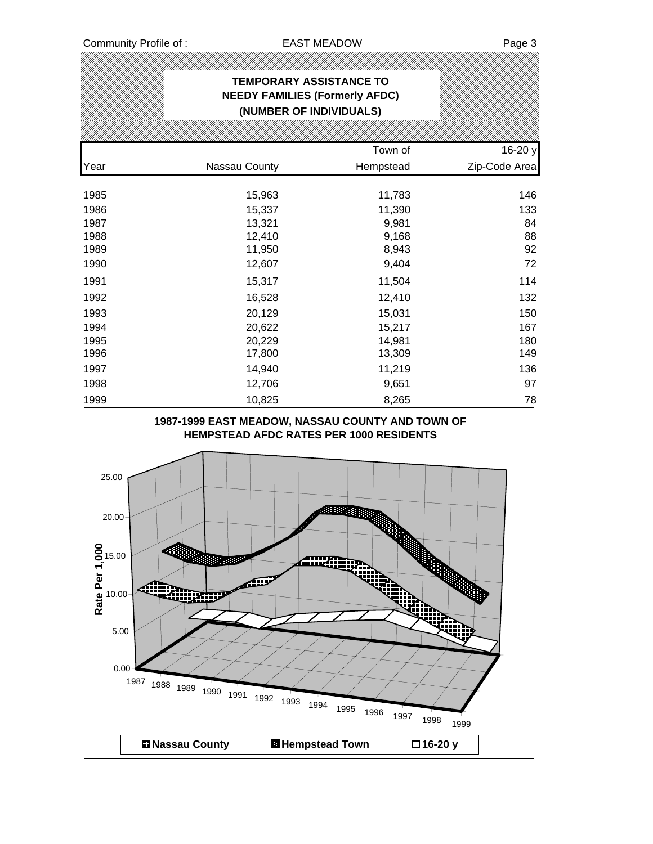|                                                                                                               | <b>TEMPORARY ASSISTANCE TO</b><br><b>NEEDY FAMILIES (Formerly AFDC)</b><br>(NUMBER OF INDIVIDUALS)     |                                                                                           |               |
|---------------------------------------------------------------------------------------------------------------|--------------------------------------------------------------------------------------------------------|-------------------------------------------------------------------------------------------|---------------|
|                                                                                                               |                                                                                                        |                                                                                           |               |
|                                                                                                               |                                                                                                        | Town of                                                                                   | 16-20 y       |
| Year                                                                                                          | Nassau County                                                                                          | Hempstead                                                                                 | Zip-Code Area |
| 1985                                                                                                          | 15,963                                                                                                 | 11,783                                                                                    | 146           |
| 1986                                                                                                          | 15,337                                                                                                 | 11,390                                                                                    | 133           |
| 1987                                                                                                          | 13,321                                                                                                 | 9,981                                                                                     | 84            |
| 1988                                                                                                          | 12,410                                                                                                 | 9,168                                                                                     | 88            |
| 1989                                                                                                          | 11,950                                                                                                 | 8,943                                                                                     | 92            |
| 1990                                                                                                          | 12,607                                                                                                 | 9,404                                                                                     | 72            |
| 1991                                                                                                          | 15,317                                                                                                 | 11,504                                                                                    | 114           |
| 1992                                                                                                          | 16,528                                                                                                 | 12,410                                                                                    | 132           |
| 1993                                                                                                          | 20,129                                                                                                 | 15,031                                                                                    | 150           |
| 1994                                                                                                          | 20,622                                                                                                 | 15,217                                                                                    | 167           |
| 1995                                                                                                          | 20,229                                                                                                 | 14,981                                                                                    | 180           |
| 1996                                                                                                          | 17,800                                                                                                 | 13,309                                                                                    | 149           |
| 1997                                                                                                          | 14,940                                                                                                 | 11,219                                                                                    | 136           |
| 1998                                                                                                          | 12,706                                                                                                 | 9,651                                                                                     | 97            |
| 1999                                                                                                          | 10,825                                                                                                 | 8,265                                                                                     | 78            |
| 25.00<br>20.00<br>0<br>$\sum_{1}^{8}$ 15.00 -<br>Rate Per<br>Rate 10.00-<br>alim<br>5.00<br>0.00<br>1987 1988 | <b>HEMPSTEAD AFDC RATES PER 1000 RESIDENTS</b><br>联网班<br>Æ<br>ww.<br>1989<br>1990 1991<br>1992<br>1993 | <b>AND AND</b><br><b>Alliantino</b><br>۷ij<br>üza<br>1994<br>1995<br>1996<br>1997<br>1998 | 1999          |
|                                                                                                               | <b>El Nassau County</b>                                                                                | <b>El Hempstead Town</b><br>□16-20 y                                                      |               |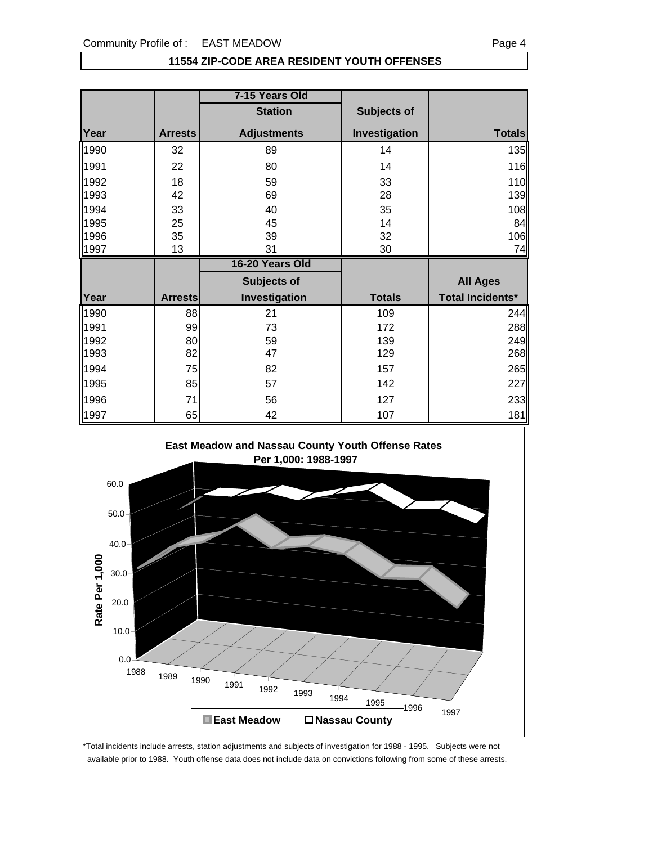#### **11554 ZIP-CODE AREA RESIDENT YOUTH OFFENSES**

|              |                | 7-15 Years Old     |               |                  |
|--------------|----------------|--------------------|---------------|------------------|
|              |                | <b>Station</b>     | Subjects of   |                  |
| Year         | <b>Arrests</b> | <b>Adjustments</b> | Investigation | <b>Totals</b>    |
| 1990         | 32             | 89                 | 14            | 135              |
| 1991         | 22             | 80                 | 14            | 116              |
| 1992<br>1993 | 18<br>42       | 59<br>69           | 33<br>28      | 110<br>139       |
| 1994         | 33             | 40                 | 35            | 108              |
| 1995         | 25             | 45                 | 14            | 84               |
| 1996         | 35             | 39                 | 32            | 106              |
| 1997         | 13             | 31                 | 30            | 74               |
|              |                |                    |               |                  |
|              |                | 16-20 Years Old    |               |                  |
|              |                | Subjects of        |               | <b>All Ages</b>  |
| Year         | <b>Arrests</b> | Investigation      | <b>Totals</b> | Total Incidents* |
| 1990         | 88             | 21                 | 109           |                  |
| 1991         | 99             | 73                 | 172           | 244<br>288       |
| 1992         | 80             | 59                 | 139           | 249              |
| 1993         | 82             | 47                 | 129           | 268              |
| 1994         | 75             | 82                 | 157           | 265              |
| 1995         | 85             | 57                 | 142           | 227              |
| 1996         | 71             | 56                 | 127           | 233              |



\*Total incidents include arrests, station adjustments and subjects of investigation for 1988 - 1995. Subjects were not available prior to 1988. Youth offense data does not include data on convictions following from some of these arrests.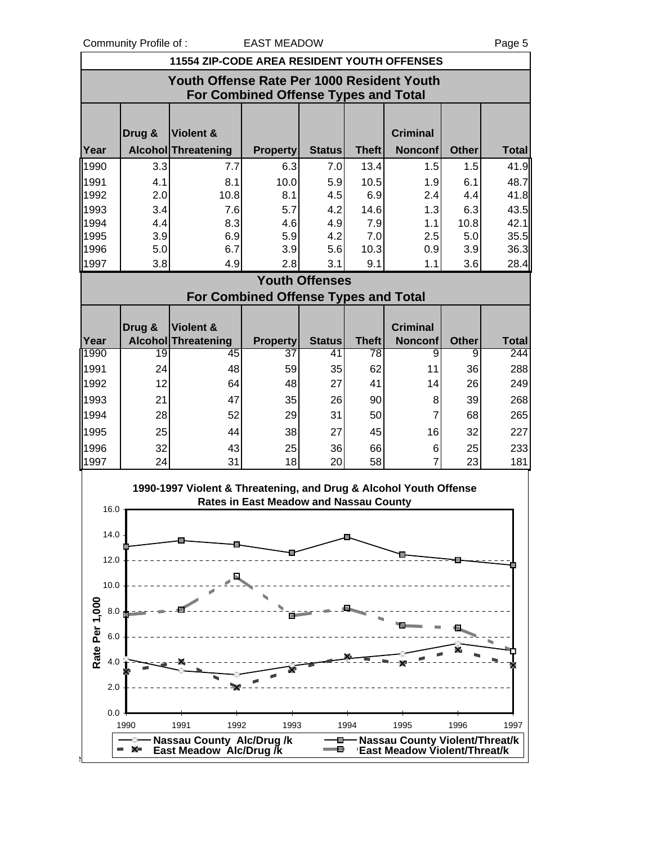Community Profile of : EAST MEADOW Fage 5

| <b>11554 ZIP-CODE AREA RESIDENT YOUTH OFFENSES</b>                                        |        |                                                                   |                                               |                       |              |                                  |              |              |  |
|-------------------------------------------------------------------------------------------|--------|-------------------------------------------------------------------|-----------------------------------------------|-----------------------|--------------|----------------------------------|--------------|--------------|--|
| Youth Offense Rate Per 1000 Resident Youth<br><b>For Combined Offense Types and Total</b> |        |                                                                   |                                               |                       |              |                                  |              |              |  |
|                                                                                           | Drug & | Violent &                                                         |                                               |                       |              | <b>Criminal</b>                  |              |              |  |
| Year                                                                                      |        | Alcohol Threatening                                               | <b>Property</b>                               | <b>Status</b>         | <b>Theft</b> | <b>Nonconf</b>                   | <b>Other</b> | <b>Total</b> |  |
| 1990                                                                                      | 3.3    | 7.7                                                               | 6.3                                           | 7.0                   | 13.4         | 1.5                              | 1.5          | 41.9         |  |
| 1991                                                                                      | 4.1    | 8.1                                                               | 10.0                                          | 5.9                   | 10.5         | 1.9                              | 6.1          | 48.7         |  |
| 1992                                                                                      | 2.0    | 10.8                                                              | 8.1                                           | 4.5                   | 6.9          | 2.4                              | 4.4          | 41.8         |  |
| 1993                                                                                      | 3.4    | 7.6                                                               | 5.7                                           | 4.2                   | 14.6         | 1.3                              | 6.3          | 43.5         |  |
| 1994                                                                                      | 4.4    | 8.3                                                               | 4.6                                           | 4.9                   | 7.9          | 1.1                              | 10.8         | 42.1         |  |
| 1995                                                                                      | 3.9    | 6.9                                                               | 5.9                                           | 4.2                   | 7.0          | 2.5                              | 5.0          | 35.5         |  |
| 1996                                                                                      | 5.0    | 6.7                                                               | 3.9                                           | 5.6                   | 10.3         | 0.9                              | 3.9          | 36.3         |  |
| 1997                                                                                      | 3.8    | 4.9                                                               | 2.8                                           | 3.1                   | 9.1          | 1.1                              | 3.6          | 28.4         |  |
|                                                                                           |        |                                                                   |                                               | <b>Youth Offenses</b> |              |                                  |              |              |  |
|                                                                                           |        |                                                                   | <b>For Combined Offense Types and Total</b>   |                       |              |                                  |              |              |  |
|                                                                                           |        |                                                                   |                                               |                       |              |                                  |              |              |  |
|                                                                                           | Drug & | Violent &                                                         |                                               |                       |              | <b>Criminal</b>                  |              |              |  |
| Year                                                                                      |        | <b>Alcohol Threatening</b>                                        | <b>Property</b>                               | <b>Status</b>         | <b>Theft</b> | <b>Nonconf</b>                   | <b>Other</b> | <b>Total</b> |  |
| 1990                                                                                      | 19     | 45                                                                | 37                                            | 41                    | 78           | 9                                | 9            | 244          |  |
| 1991                                                                                      | 24     | 48                                                                | 59                                            | 35                    | 62           | 11                               | 36           | 288          |  |
| 1992                                                                                      | 12     | 64                                                                | 48                                            | 27                    | 41           | 14                               | 26           | 249          |  |
| 1993                                                                                      | 21     | 47                                                                | 35                                            | 26                    | 90           | 8                                | 39           | 268          |  |
| 1994                                                                                      | 28     | 52                                                                | 29                                            | 31                    | 50           | $\overline{7}$                   | 68           | 265          |  |
| 1995                                                                                      | 25     | 44                                                                | 38                                            | 27                    | 45           | 16                               | 32           | 227          |  |
| 1996                                                                                      | 32     | 43                                                                | 25                                            | 36                    | 66           | 6                                | 25           | 233          |  |
| 1997                                                                                      | 24     | 31                                                                | 18                                            | 20                    | 58           | $\overline{7}$                   | 23           | 181          |  |
| 16.0                                                                                      |        | 1990-1997 Violent & Threatening, and Drug & Alcohol Youth Offense | <b>Rates in East Meadow and Nassau County</b> |                       |              |                                  |              |              |  |
| 14.0                                                                                      |        |                                                                   |                                               |                       |              |                                  |              |              |  |
|                                                                                           |        |                                                                   |                                               |                       |              |                                  |              |              |  |
| 12.0                                                                                      |        |                                                                   |                                               |                       |              |                                  |              |              |  |
| 10.0                                                                                      |        |                                                                   |                                               |                       |              |                                  |              |              |  |
|                                                                                           |        |                                                                   |                                               |                       |              |                                  |              |              |  |
| 8.0                                                                                       |        |                                                                   |                                               |                       |              |                                  |              |              |  |
| 6.0                                                                                       |        |                                                                   |                                               |                       |              |                                  |              |              |  |
| Rate Per 1,000<br>4.0                                                                     |        |                                                                   |                                               |                       |              |                                  |              |              |  |
| 2.0                                                                                       |        |                                                                   |                                               |                       |              |                                  |              |              |  |
| 0.0                                                                                       |        |                                                                   |                                               |                       |              |                                  |              |              |  |
|                                                                                           | 1990   | 1991<br>1992                                                      | 1993                                          |                       | 1994         | 1995                             | 1996         | 1997         |  |
|                                                                                           |        | - Nassau County Alc/Drug /k                                       |                                               |                       |              | - Nassau County Violent/Threat/k |              |              |  |
|                                                                                           | - x-   | East Meadow Alc/Drug /k                                           |                                               |                       |              | 'East Meadow Violent/Threat/k    |              |              |  |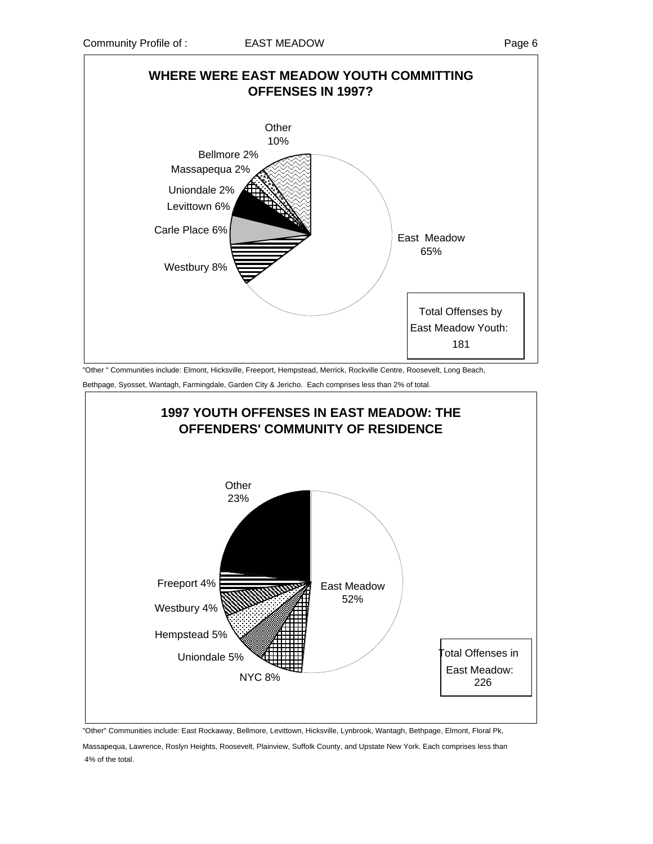

"Other " Communities include: Elmont, Hicksville, Freeport, Hempstead, Merrick, Rockville Centre, Roosevelt, Long Beach,

Bethpage, Syosset, Wantagh, Farmingdale, Garden City & Jericho. Each comprises less than 2% of total.



"Other" Communities include: East Rockaway, Bellmore, Levittown, Hicksville, Lynbrook, Wantagh, Bethpage, Elmont, Floral Pk,

Massapequa, Lawrence, Roslyn Heights, Roosevelt, Plainview, Suffolk County, and Upstate New York. Each comprises less than 4% of the total.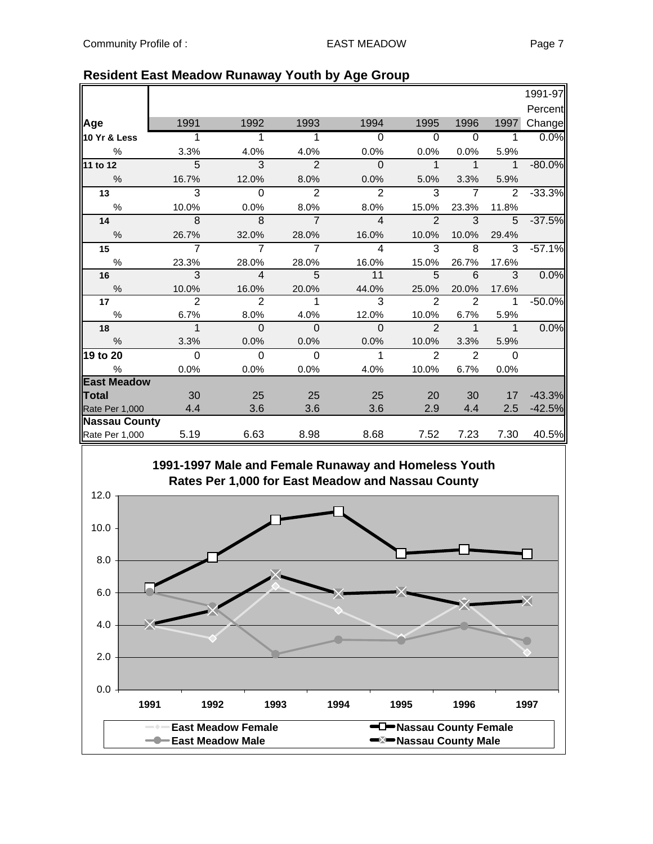|                      |                |                |                |                |                |                |                | 1991-97  |
|----------------------|----------------|----------------|----------------|----------------|----------------|----------------|----------------|----------|
|                      |                |                |                |                |                |                |                | Percent  |
| Age                  | 1991           | 1992           | 1993           | 1994           | 1995           | 1996           | 1997           | Change   |
| 10 Yr & Less         | $\overline{1}$ | 1              | 1              | $\overline{0}$ | $\overline{0}$ | $\overline{0}$ | $\mathbf 1$    | 0.0%     |
| $\%$                 | 3.3%           | 4.0%           | 4.0%           | 0.0%           | 0.0%           | 0.0%           | 5.9%           |          |
| $11$ to 12           | 5              | $\mathbf{3}$   | $\overline{2}$ | $\mathbf{0}$   | $\mathbf 1$    | $\mathbf 1$    | $\overline{1}$ | $-80.0%$ |
| $\%$                 | 16.7%          | 12.0%          | 8.0%           | 0.0%           | 5.0%           | 3.3%           | 5.9%           |          |
| 13                   | 3              | $\Omega$       | $\overline{2}$ | $\overline{2}$ | 3              | $\overline{7}$ | $\overline{2}$ | $-33.3%$ |
| $\%$                 | 10.0%          | 0.0%           | 8.0%           | 8.0%           | 15.0%          | 23.3%          | 11.8%          |          |
| 14                   | 8              | 8              | $\overline{7}$ | $\overline{4}$ | $\mathcal{P}$  | 3              | $5^{\circ}$    | $-37.5%$ |
| %                    | 26.7%          | 32.0%          | 28.0%          | 16.0%          | 10.0%          | 10.0%          | 29.4%          |          |
| 15                   | $\overline{7}$ | $\overline{7}$ | $\overline{7}$ | $\overline{4}$ | 3              | 8              | 3              | $-57.1%$ |
| $\%$                 | 23.3%          | 28.0%          | 28.0%          | 16.0%          | 15.0%          | 26.7%          | 17.6%          |          |
| 16                   | 3              | $\overline{4}$ | 5              | 11             | 5              | 6              | 3              | 0.0%     |
| $\%$                 | 10.0%          | 16.0%          | 20.0%          | 44.0%          | 25.0%          | 20.0%          | 17.6%          |          |
| 17                   | $\overline{2}$ | $\overline{2}$ | 1              | 3              | $\overline{2}$ | $\overline{2}$ | 1              | $-50.0%$ |
| $\%$                 | 6.7%           | 8.0%           | 4.0%           | 12.0%          | 10.0%          | 6.7%           | 5.9%           |          |
| 18                   | $\mathbf 1$    | $\Omega$       | $\Omega$       | $\Omega$       | $\mathfrak{p}$ | 1              | $\overline{1}$ | 0.0%     |
| $\frac{0}{0}$        | 3.3%           | 0.0%           | 0.0%           | 0.0%           | 10.0%          | 3.3%           | 5.9%           |          |
| 19 to 20             | $\overline{0}$ | $\Omega$       | $\Omega$       | $\mathbf{1}$   | $\overline{2}$ | 2              | $\Omega$       |          |
| %                    | 0.0%           | 0.0%           | 0.0%           | 4.0%           | 10.0%          | 6.7%           | 0.0%           |          |
| <b>East Meadow</b>   |                |                |                |                |                |                |                |          |
| Total                | 30             | 25             | 25             | 25             | 20             | 30             | 17             | $-43.3%$ |
| Rate Per 1,000       | 4.4            | 3.6            | 3.6            | 3.6            | 2.9            | 4.4            | 2.5            | $-42.5%$ |
| <b>Nassau County</b> |                |                |                |                |                |                |                |          |
| Rate Per 1,000       | 5.19           | 6.63           | 8.98           | 8.68           | 7.52           | 7.23           | 7.30           | 40.5%    |

# **Resident East Meadow Runaway Youth by Age Group**

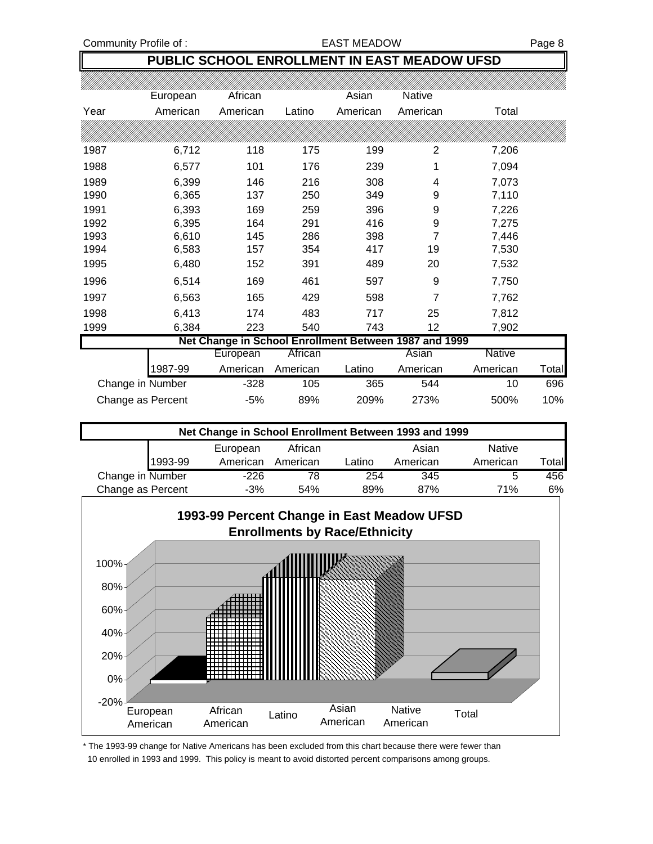## **PUBLIC SCHOOL ENROLLMENT IN EAST MEADOW UFSD**

|                   | European | African  |          | Asian                                                 | <b>Native</b> |          |              |
|-------------------|----------|----------|----------|-------------------------------------------------------|---------------|----------|--------------|
| Year              | American | American | Latino   | American                                              | American      | Total    |              |
|                   |          |          |          |                                                       |               |          |              |
| 1987              | 6,712    | 118      | 175      | 199                                                   | 2             | 7,206    |              |
| 1988              | 6,577    | 101      | 176      | 239                                                   | 1             | 7,094    |              |
| 1989              | 6,399    | 146      | 216      | 308                                                   | 4             | 7,073    |              |
| 1990              | 6,365    | 137      | 250      | 349                                                   | 9             | 7,110    |              |
| 1991              | 6,393    | 169      | 259      | 396                                                   | 9             | 7,226    |              |
| 1992              | 6,395    | 164      | 291      | 416                                                   | 9             | 7,275    |              |
| 1993              | 6,610    | 145      | 286      | 398                                                   | 7             | 7,446    |              |
| 1994              | 6,583    | 157      | 354      | 417                                                   | 19            | 7,530    |              |
| 1995              | 6,480    | 152      | 391      | 489                                                   | 20            | 7,532    |              |
| 1996              | 6,514    | 169      | 461      | 597                                                   | 9             | 7,750    |              |
| 1997              | 6,563    | 165      | 429      | 598                                                   | 7             | 7,762    |              |
| 1998              | 6,413    | 174      | 483      | 717                                                   | 25            | 7,812    |              |
| 1999              | 6,384    | 223      | 540      | 743                                                   | 12            | 7,902    |              |
|                   |          |          |          | Net Change in School Enrollment Between 1987 and 1999 |               |          |              |
|                   |          | European | African  |                                                       | Asian         | Native   |              |
|                   | 1987-99  | American | American | Latino                                                | American      | American | <b>Total</b> |
| Change in Number  |          | $-328$   | 105      | 365                                                   | 544           | 10       | 696          |
| Change as Percent |          | $-5%$    | 89%      | 209%                                                  | 273%          | 500%     | 10%          |

| Net Change in School Enrollment Between 1993 and 1999 |         |          |          |        |          |               |              |  |  |
|-------------------------------------------------------|---------|----------|----------|--------|----------|---------------|--------------|--|--|
|                                                       |         | European | African  |        | Asian    | <b>Native</b> |              |  |  |
|                                                       | 1993-99 | American | American | Latino | American | American      | <b>Total</b> |  |  |
| Change in Number                                      |         | $-226$   | 78       | 254    | 345      | 5             | 456          |  |  |
| Change as Percent                                     |         | $-3%$    | 54%      | 89%    | 87%      | 71%           | 6%           |  |  |



\* The 1993-99 change for Native Americans has been excluded from this chart because there were fewer than 10 enrolled in 1993 and 1999. This policy is meant to avoid distorted percent comparisons among groups.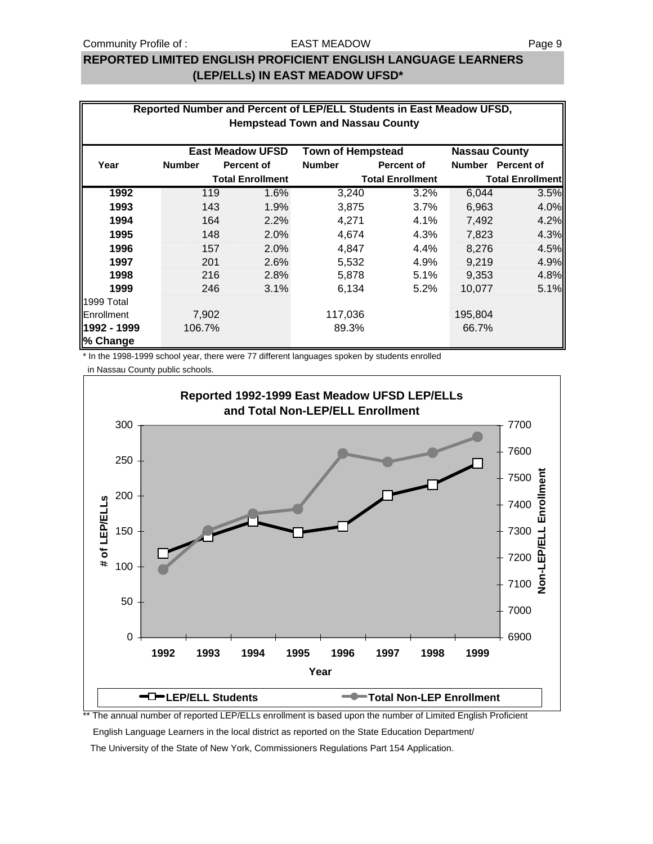#### EAST MEADOW

## **REPORTED LIMITED ENGLISH PROFICIENT ENGLISH LANGUAGE LEARNERS (LEP/ELLs) IN EAST MEADOW UFSD\***

| Reported Number and Percent of LEP/ELL Students in East Meadow UFSD,<br><b>Hempstead Town and Nassau County</b> |                                                                             |                         |               |                         |               |                         |  |  |  |  |  |
|-----------------------------------------------------------------------------------------------------------------|-----------------------------------------------------------------------------|-------------------------|---------------|-------------------------|---------------|-------------------------|--|--|--|--|--|
|                                                                                                                 | <b>East Meadow UFSD</b><br><b>Town of Hempstead</b><br><b>Nassau County</b> |                         |               |                         |               |                         |  |  |  |  |  |
| Year                                                                                                            | <b>Number</b>                                                               | <b>Percent of</b>       | <b>Number</b> | <b>Percent of</b>       | <b>Number</b> | <b>Percent of</b>       |  |  |  |  |  |
|                                                                                                                 |                                                                             | <b>Total Enrollment</b> |               | <b>Total Enrollment</b> |               | <b>Total Enrollment</b> |  |  |  |  |  |
| 1992                                                                                                            | 119                                                                         | 1.6%                    | 3,240         | 3.2%                    | 6,044         | 3.5%                    |  |  |  |  |  |
| 1993                                                                                                            | 143                                                                         | 1.9%                    | 3,875         | 3.7%                    | 6,963         | 4.0%                    |  |  |  |  |  |
| 1994                                                                                                            | 164                                                                         | 2.2%                    | 4,271         | 4.1%                    | 7,492         | 4.2%                    |  |  |  |  |  |
| 1995                                                                                                            | 148                                                                         | 2.0%                    | 4,674         | 4.3%                    | 7,823         | 4.3%                    |  |  |  |  |  |
| 1996                                                                                                            | 157                                                                         | 2.0%                    | 4,847         | 4.4%                    | 8,276         | 4.5%                    |  |  |  |  |  |
| 1997                                                                                                            | 201                                                                         | 2.6%                    | 5,532         | 4.9%                    | 9,219         | 4.9%                    |  |  |  |  |  |
| 1998                                                                                                            | 216                                                                         | 2.8%                    | 5,878         | 5.1%                    | 9,353         | 4.8%                    |  |  |  |  |  |
| 1999                                                                                                            | 246                                                                         | 3.1%                    | 6,134         | 5.2%                    | 10,077        | 5.1%                    |  |  |  |  |  |
| 1999 Total                                                                                                      |                                                                             |                         |               |                         |               |                         |  |  |  |  |  |
| Enrollment                                                                                                      | 7,902                                                                       |                         | 117,036       |                         | 195,804       |                         |  |  |  |  |  |
| 1992 - 1999<br>% Change                                                                                         | 106.7%                                                                      |                         | 89.3%         |                         | 66.7%         |                         |  |  |  |  |  |

\* In the 1998-1999 school year, there were 77 different languages spoken by students enrolled

in Nassau County public schools.



The annual number of reported LEP/ELLs enrollment is based upon the number of Limited English Proficient

English Language Learners in the local district as reported on the State Education Department/

The University of the State of New York, Commissioners Regulations Part 154 Application.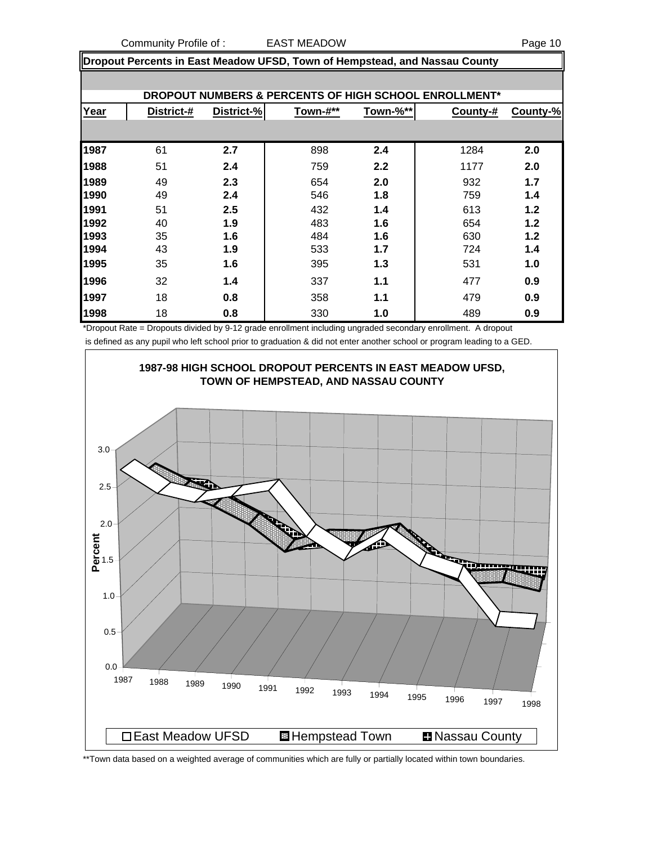Community Profile of : CAST MEADOW And Community Profile of : CAST MEADOW

**Dropout Percents in East Meadow UFSD, Town of Hempstead, and Nassau County**

|      | DROPOUT NUMBERS & PERCENTS OF HIGH SCHOOL ENROLLMENT* |            |          |          |          |          |  |  |  |  |  |  |
|------|-------------------------------------------------------|------------|----------|----------|----------|----------|--|--|--|--|--|--|
| Year | District-#                                            | District-% | Town-#** | Town-%** | County-# | County-% |  |  |  |  |  |  |
|      |                                                       |            |          |          |          |          |  |  |  |  |  |  |
| 1987 | 61                                                    | 2.7        | 898      | 2.4      | 1284     | 2.0      |  |  |  |  |  |  |
| 1988 | 51                                                    | 2.4        | 759      | 2.2      | 1177     | 2.0      |  |  |  |  |  |  |
| 1989 | 49                                                    | 2.3        | 654      | 2.0      | 932      | 1.7      |  |  |  |  |  |  |
| 1990 | 49                                                    | 2.4        | 546      | 1.8      | 759      | 1.4      |  |  |  |  |  |  |
| 1991 | 51                                                    | 2.5        | 432      | 1.4      | 613      | 1.2      |  |  |  |  |  |  |
| 1992 | 40                                                    | 1.9        | 483      | 1.6      | 654      | 1.2      |  |  |  |  |  |  |
| 1993 | 35                                                    | 1.6        | 484      | 1.6      | 630      | 1.2      |  |  |  |  |  |  |
| 1994 | 43                                                    | 1.9        | 533      | 1.7      | 724      | 1.4      |  |  |  |  |  |  |
| 1995 | 35                                                    | 1.6        | 395      | 1.3      | 531      | 1.0      |  |  |  |  |  |  |
| 1996 | 32                                                    | 1.4        | 337      | 1.1      | 477      | 0.9      |  |  |  |  |  |  |
| 1997 | 18                                                    | 0.8        | 358      | 1.1      | 479      | 0.9      |  |  |  |  |  |  |
| 1998 | 18                                                    | 0.8        | 330      | 1.0      | 489      | 0.9      |  |  |  |  |  |  |

\*Dropout Rate = Dropouts divided by 9-12 grade enrollment including ungraded secondary enrollment. A dropout is defined as any pupil who left school prior to graduation & did not enter another school or program leading to a GED.



\*\*Town data based on a weighted average of communities which are fully or partially located within town boundaries.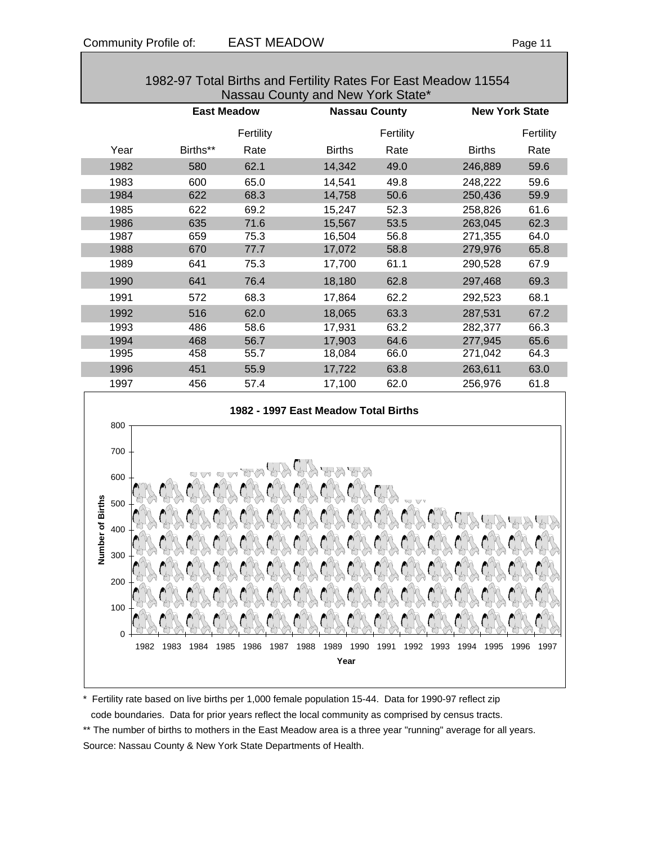| 1982-97 Total Births and Fertility Rates For East Meadow 11554<br>Nassau County and New York State* |      |                    |           |               |                      |               |                       |  |  |  |  |
|-----------------------------------------------------------------------------------------------------|------|--------------------|-----------|---------------|----------------------|---------------|-----------------------|--|--|--|--|
|                                                                                                     |      | <b>East Meadow</b> |           |               | <b>Nassau County</b> |               | <b>New York State</b> |  |  |  |  |
|                                                                                                     |      |                    | Fertility |               | Fertility            |               | Fertility             |  |  |  |  |
|                                                                                                     | Year | Births**           | Rate      | <b>Births</b> | Rate                 | <b>Births</b> | Rate                  |  |  |  |  |
|                                                                                                     | 1982 | 580                | 62.1      | 14,342        | 49.0                 | 246,889       | 59.6                  |  |  |  |  |
|                                                                                                     | 1983 | 600                | 65.0      | 14,541        | 49.8                 | 248,222       | 59.6                  |  |  |  |  |
|                                                                                                     | 1984 | 622                | 68.3      | 14,758        | 50.6                 | 250,436       | 59.9                  |  |  |  |  |
|                                                                                                     | 1985 | 622                | 69.2      | 15,247        | 52.3                 | 258,826       | 61.6                  |  |  |  |  |
|                                                                                                     | 1986 | 635                | 71.6      | 15,567        | 53.5                 | 263,045       | 62.3                  |  |  |  |  |
|                                                                                                     | 1987 | 659                | 75.3      | 16,504        | 56.8                 | 271,355       | 64.0                  |  |  |  |  |
|                                                                                                     | 1988 | 670                | 77.7      | 17,072        | 58.8                 | 279,976       | 65.8                  |  |  |  |  |
|                                                                                                     | 1989 | 641                | 75.3      | 17,700        | 61.1                 | 290,528       | 67.9                  |  |  |  |  |
|                                                                                                     | 1990 | 641                | 76.4      | 18,180        | 62.8                 | 297,468       | 69.3                  |  |  |  |  |
|                                                                                                     | 1991 | 572                | 68.3      | 17,864        | 62.2                 | 292,523       | 68.1                  |  |  |  |  |
|                                                                                                     | 1992 | 516                | 62.0      | 18,065        | 63.3                 | 287,531       | 67.2                  |  |  |  |  |
|                                                                                                     | 1993 | 486                | 58.6      | 17,931        | 63.2                 | 282,377       | 66.3                  |  |  |  |  |
|                                                                                                     | 1994 | 468                | 56.7      | 17,903        | 64.6                 | 277,945       | 65.6                  |  |  |  |  |
|                                                                                                     | 1995 | 458                | 55.7      | 18,084        | 66.0                 | 271,042       | 64.3                  |  |  |  |  |
|                                                                                                     | 1996 | 451                | 55.9      | 17,722        | 63.8                 | 263,611       | 63.0                  |  |  |  |  |
|                                                                                                     | 1997 | 456                | 57.4      | 17,100        | 62.0                 | 256,976       | 61.8                  |  |  |  |  |



\* Fertility rate based on live births per 1,000 female population 15-44. Data for 1990-97 reflect zip code boundaries. Data for prior years reflect the local community as comprised by census tracts.

\*\* The number of births to mothers in the East Meadow area is a three year "running" average for all years. Source: Nassau County & New York State Departments of Health.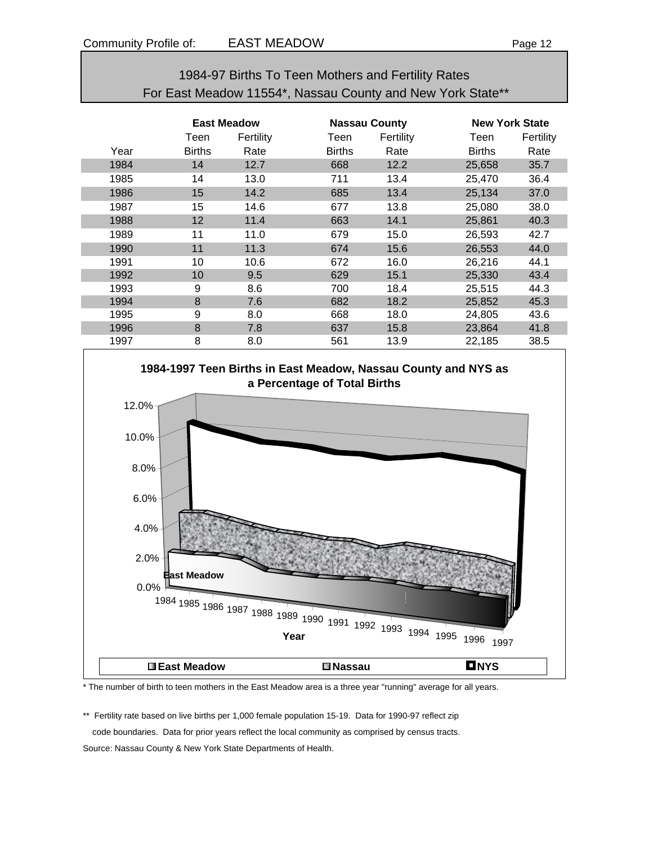| 1984-97 Births To Teen Mothers and Fertility Rates         |
|------------------------------------------------------------|
| For East Meadow 11554*, Nassau County and New York State** |

|      | <b>East Meadow</b> |           | <b>Nassau County</b> |           |               | <b>New York State</b> |  |
|------|--------------------|-----------|----------------------|-----------|---------------|-----------------------|--|
|      | Teen               | Fertility | Teen                 | Fertility | Teen          | Fertility             |  |
| Year | <b>Births</b>      | Rate      | <b>Births</b>        | Rate      | <b>Births</b> | Rate                  |  |
| 1984 | 14                 | 12.7      | 668                  | 12.2      | 25,658        | 35.7                  |  |
| 1985 | 14                 | 13.0      | 711                  | 13.4      | 25,470        | 36.4                  |  |
| 1986 | 15                 | 14.2      | 685                  | 13.4      | 25,134        | 37.0                  |  |
| 1987 | 15                 | 14.6      | 677                  | 13.8      | 25,080        | 38.0                  |  |
| 1988 | 12                 | 11.4      | 663                  | 14.1      | 25,861        | 40.3                  |  |
| 1989 | 11                 | 11.0      | 679                  | 15.0      | 26,593        | 42.7                  |  |
| 1990 | 11                 | 11.3      | 674                  | 15.6      | 26,553        | 44.0                  |  |
| 1991 | 10                 | 10.6      | 672                  | 16.0      | 26,216        | 44.1                  |  |
| 1992 | 10                 | 9.5       | 629                  | 15.1      | 25,330        | 43.4                  |  |
| 1993 | 9                  | 8.6       | 700                  | 18.4      | 25,515        | 44.3                  |  |
| 1994 | 8                  | 7.6       | 682                  | 18.2      | 25,852        | 45.3                  |  |
| 1995 | 9                  | 8.0       | 668                  | 18.0      | 24,805        | 43.6                  |  |
| 1996 | 8                  | 7.8       | 637                  | 15.8      | 23,864        | 41.8                  |  |
| 1997 | 8                  | 8.0       | 561                  | 13.9      | 22,185        | 38.5                  |  |



\* The number of birth to teen mothers in the East Meadow area is a three year "running" average for all years.

\*\* Fertility rate based on live births per 1,000 female population 15-19. Data for 1990-97 reflect zip code boundaries. Data for prior years reflect the local community as comprised by census tracts. Source: Nassau County & New York State Departments of Health.